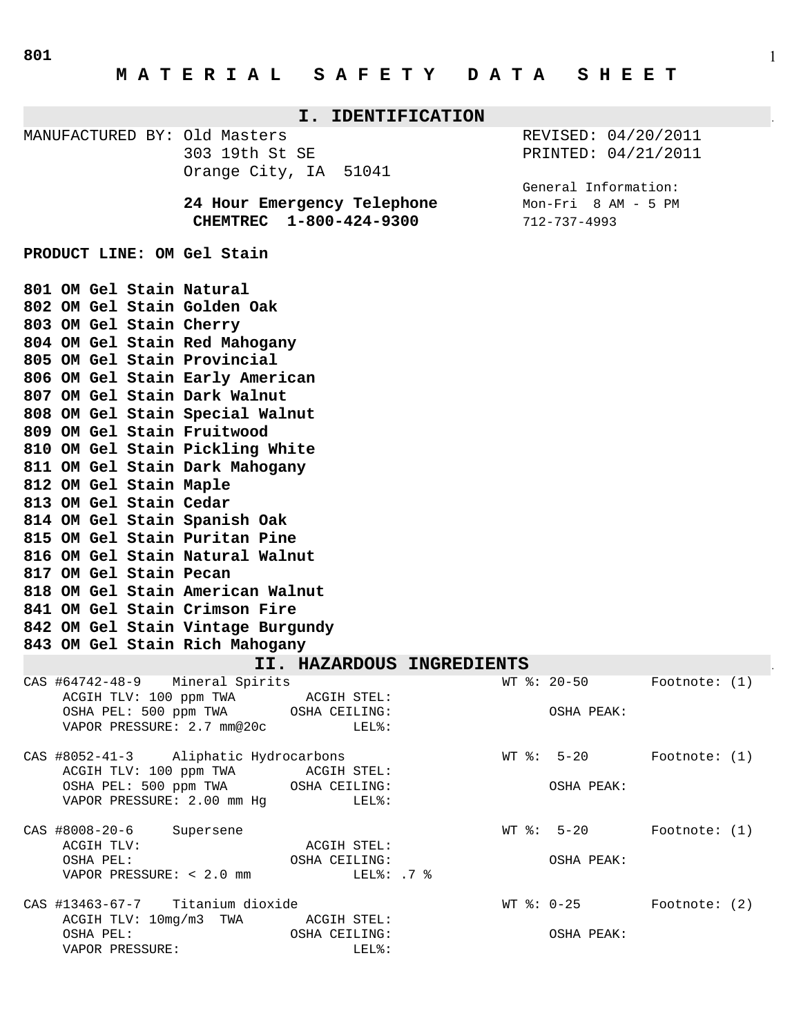| I. IDENTIFICATION                                                                                                                                                                                                                                                                                                                                                                                                                                                                                                                                                                                                  |                                                                                                                                  |                                             |                                         |                                                                    |
|--------------------------------------------------------------------------------------------------------------------------------------------------------------------------------------------------------------------------------------------------------------------------------------------------------------------------------------------------------------------------------------------------------------------------------------------------------------------------------------------------------------------------------------------------------------------------------------------------------------------|----------------------------------------------------------------------------------------------------------------------------------|---------------------------------------------|-----------------------------------------|--------------------------------------------------------------------|
| MANUFACTURED BY: Old Masters                                                                                                                                                                                                                                                                                                                                                                                                                                                                                                                                                                                       | 303 19th St SE<br>Orange City, IA                                                                                                | 51041                                       |                                         | REVISED: 04/20/2011<br>PRINTED: 04/21/2011<br>General Information: |
|                                                                                                                                                                                                                                                                                                                                                                                                                                                                                                                                                                                                                    | 24 Hour Emergency Telephone<br>CHEMTREC 1-800-424-9300                                                                           |                                             | 712-737-4993                            | $Mon-Fri$ 8 AM - 5 PM                                              |
| PRODUCT LINE: OM Gel Stain                                                                                                                                                                                                                                                                                                                                                                                                                                                                                                                                                                                         |                                                                                                                                  |                                             |                                         |                                                                    |
| 801 OM Gel Stain Natural<br>802 OM Gel Stain Golden Oak<br>803 OM Gel Stain Cherry<br>804 OM Gel Stain Red Mahogany<br>805 OM Gel Stain Provincial<br>806 OM Gel Stain Early American<br>807 OM Gel Stain Dark Walnut<br>808 OM Gel Stain Special Walnut<br>809 OM Gel Stain Fruitwood<br>810 OM Gel Stain Pickling White<br>811 OM Gel Stain Dark Mahogany<br>812 OM Gel Stain Maple<br>813 OM Gel Stain Cedar<br>814 OM Gel Stain Spanish Oak<br>815 OM Gel Stain Puritan Pine<br>816 OM Gel Stain Natural Walnut<br>817 OM Gel Stain Pecan<br>818 OM Gel Stain American Walnut<br>841 OM Gel Stain Crimson Fire |                                                                                                                                  |                                             |                                         |                                                                    |
| 842 OM Gel Stain Vintage Burgundy<br>843 OM Gel Stain Rich Mahogany                                                                                                                                                                                                                                                                                                                                                                                                                                                                                                                                                |                                                                                                                                  |                                             |                                         |                                                                    |
| II. HAZARDOUS<br><b>INGREDIENTS</b>                                                                                                                                                                                                                                                                                                                                                                                                                                                                                                                                                                                |                                                                                                                                  |                                             |                                         |                                                                    |
| CAS #64742-48-9                                                                                                                                                                                                                                                                                                                                                                                                                                                                                                                                                                                                    | Mineral Spirits<br>ACGIH TLV: 100 ppm TWA ACGIH STEL:<br>OSHA PEL: 500 ppm TWA OSHA CEILING:<br>VAPOR PRESSURE: 2.7 mm@20c LEL%: |                                             | $WT$ $%: 20-50$<br>OSHA PEAK:           | Footnote: $(1)$                                                    |
| CAS #8052-41-3 Aliphatic Hydrocarbons                                                                                                                                                                                                                                                                                                                                                                                                                                                                                                                                                                              | ACGIH TLV: 100 ppm TWA ACGIH STEL:<br>OSHA PEL: 500 ppm TWA OSHA CEILING:<br>VAPOR PRESSURE: 2.00 mm Hg LEL%:                    |                                             | OSHA PEAK:                              | $WT$ $\frac{20}{10}$ Footnote: (1)                                 |
| CAS #8008-20-6 Supersene<br>ACGIH TLV:<br>OSHA PEL:<br>VAPOR PRESSURE: < 2.0 mm                                                                                                                                                                                                                                                                                                                                                                                                                                                                                                                                    |                                                                                                                                  | ACGIH STEL:<br>OSHA CEILING:<br>LEL ?: .7 % | $WT$ $\frac{6}{3}$ : 5-20<br>OSHA PEAK: | Footnote: (1)                                                      |
| CAS #13463-67-7 Titanium dioxide<br>ACGIH TLV: 10mg/m3 TWA<br>OSHA PEL:<br>VAPOR PRESSURE:                                                                                                                                                                                                                                                                                                                                                                                                                                                                                                                         |                                                                                                                                  | ACGIH STEL:<br>OSHA CEILING:<br>LEL%:       | OSHA PEAK:                              | WT $\textdegree: 0-25$ Footnote: (2)                               |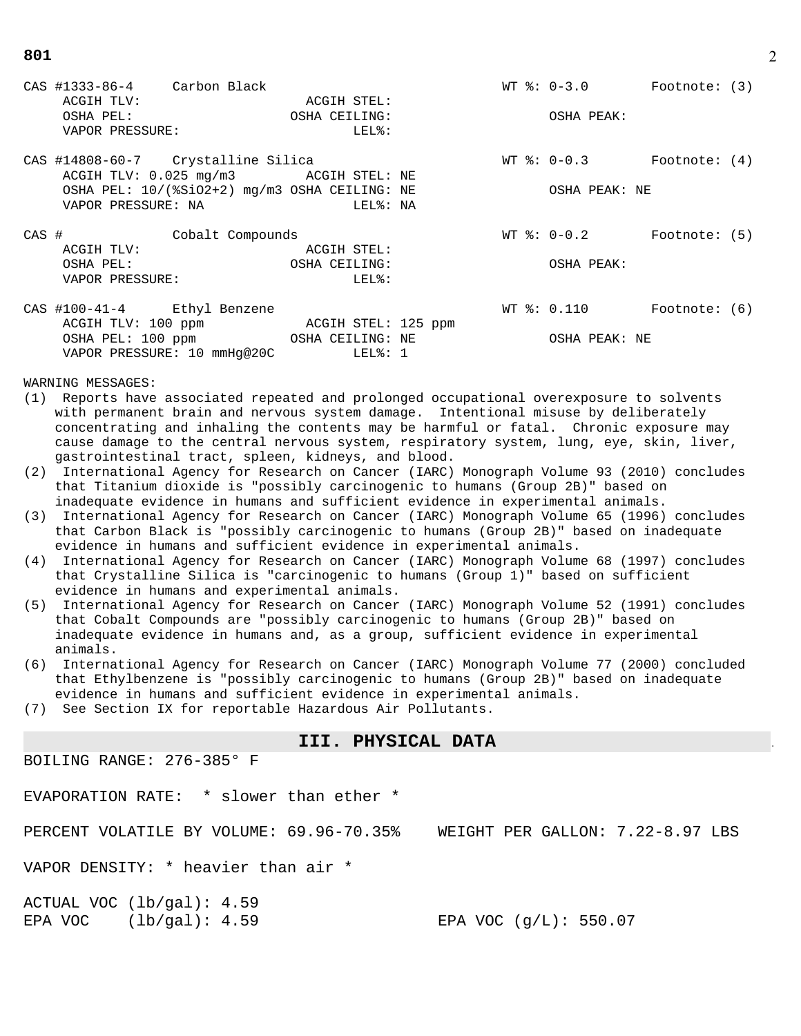CAS #1333-86-4 Carbon Black WT %: 0-3.0 Footnote: (3) ACGIH TLV: ACGIH STEL: OSHA PEL: OSHA CEILING: OSHA PEAK: VAPOR PRESSURE: LEL&: CAS #14808-60-7 Crystalline Silica WT %: 0-0.3 Footnote: (4) ACGIH TLV: 0.025 mg/m3 ACGIH STEL: NE OSHA PEL:  $10/(8SiO2+2)$  mg/m3 OSHA CEILING: NE OSHA PEAK: NE VAPOR PRESSURE: NA LEL%: NA CAS # Cobalt Compounds WT %: 0-0.2 Footnote: (5) ACGIH TLV: ACGIH STEL: OSHA PEL: OSHA CEILING: OSHA PEAK: VAPOR PRESSURE: LEL&: CAS #100-41-4 Ethyl Benzene WT %: 0.110 Footnote: (6) ACGIH TLV: 100 ppm ACGIH STEL: 125 ppm OSHA PEL: 100 ppm OSHA CEILING: NE OSHA PEAK: NE VAPOR PRESSURE: 10 mmHg@20C LEL%: 1

WARNING MESSAGES:

- (1) Reports have associated repeated and prolonged occupational overexposure to solvents with permanent brain and nervous system damage. Intentional misuse by deliberately concentrating and inhaling the contents may be harmful or fatal. Chronic exposure may cause damage to the central nervous system, respiratory system, lung, eye, skin, liver, gastrointestinal tract, spleen, kidneys, and blood.
- (2) International Agency for Research on Cancer (IARC) Monograph Volume 93 (2010) concludes that Titanium dioxide is "possibly carcinogenic to humans (Group 2B)" based on inadequate evidence in humans and sufficient evidence in experimental animals.
- (3) International Agency for Research on Cancer (IARC) Monograph Volume 65 (1996) concludes that Carbon Black is "possibly carcinogenic to humans (Group 2B)" based on inadequate evidence in humans and sufficient evidence in experimental animals.
- (4) International Agency for Research on Cancer (IARC) Monograph Volume 68 (1997) concludes that Crystalline Silica is "carcinogenic to humans (Group 1)" based on sufficient evidence in humans and experimental animals.
- (5) International Agency for Research on Cancer (IARC) Monograph Volume 52 (1991) concludes that Cobalt Compounds are "possibly carcinogenic to humans (Group 2B)" based on inadequate evidence in humans and, as a group, sufficient evidence in experimental animals.
- (6) International Agency for Research on Cancer (IARC) Monograph Volume 77 (2000) concluded that Ethylbenzene is "possibly carcinogenic to humans (Group 2B)" based on inadequate evidence in humans and sufficient evidence in experimental animals.
- (7) See Section IX for reportable Hazardous Air Pollutants.

#### **III. PHYSICAL DATA** .

BOILING RANGE: 276-385° F

EVAPORATION RATE: \* slower than ether \*

PERCENT VOLATILE BY VOLUME: 69.96-70.35% WEIGHT PER GALLON: 7.22-8.97 LBS

VAPOR DENSITY: \* heavier than air \*

ACTUAL VOC (lb/gal): 4.59 EPA VOC  $(lb/ga1): 4.59$  EPA VOC  $(g/L): 550.07$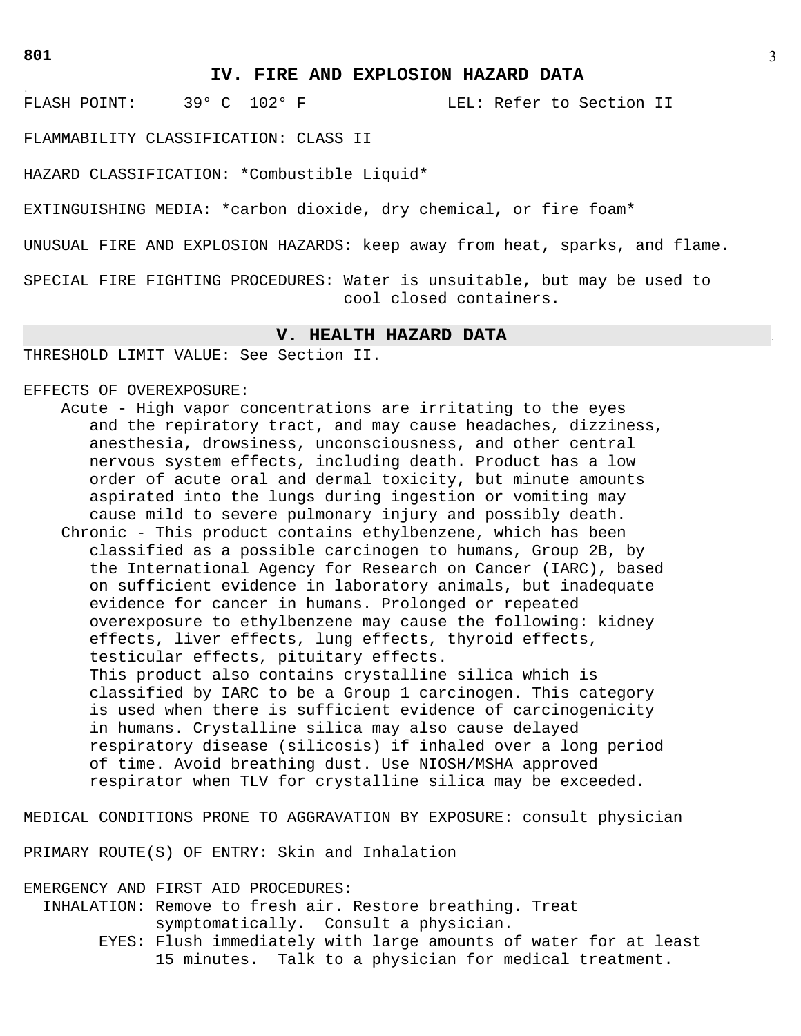.

FLASH POINT: 39° C 102° F LEL: Refer to Section II

FLAMMABILITY CLASSIFICATION: CLASS II

HAZARD CLASSIFICATION: \*Combustible Liquid\*

EXTINGUISHING MEDIA: \*carbon dioxide, dry chemical, or fire foam\*

UNUSUAL FIRE AND EXPLOSION HAZARDS: keep away from heat, sparks, and flame.

SPECIAL FIRE FIGHTING PROCEDURES: Water is unsuitable, but may be used to cool closed containers.

### **V. HEALTH HAZARD DATA** .

THRESHOLD LIMIT VALUE: See Section II.

EFFECTS OF OVEREXPOSURE:

 Acute - High vapor concentrations are irritating to the eyes and the repiratory tract, and may cause headaches, dizziness, anesthesia, drowsiness, unconsciousness, and other central nervous system effects, including death. Product has a low order of acute oral and dermal toxicity, but minute amounts aspirated into the lungs during ingestion or vomiting may cause mild to severe pulmonary injury and possibly death. Chronic - This product contains ethylbenzene, which has been classified as a possible carcinogen to humans, Group 2B, by the International Agency for Research on Cancer (IARC), based on sufficient evidence in laboratory animals, but inadequate

 evidence for cancer in humans. Prolonged or repeated overexposure to ethylbenzene may cause the following: kidney effects, liver effects, lung effects, thyroid effects, testicular effects, pituitary effects.

 This product also contains crystalline silica which is classified by IARC to be a Group 1 carcinogen. This category is used when there is sufficient evidence of carcinogenicity in humans. Crystalline silica may also cause delayed respiratory disease (silicosis) if inhaled over a long period of time. Avoid breathing dust. Use NIOSH/MSHA approved respirator when TLV for crystalline silica may be exceeded.

MEDICAL CONDITIONS PRONE TO AGGRAVATION BY EXPOSURE: consult physician

PRIMARY ROUTE(S) OF ENTRY: Skin and Inhalation

EMERGENCY AND FIRST AID PROCEDURES: INHALATION: Remove to fresh air. Restore breathing. Treat symptomatically. Consult a physician. EYES: Flush immediately with large amounts of water for at least 15 minutes. Talk to a physician for medical treatment.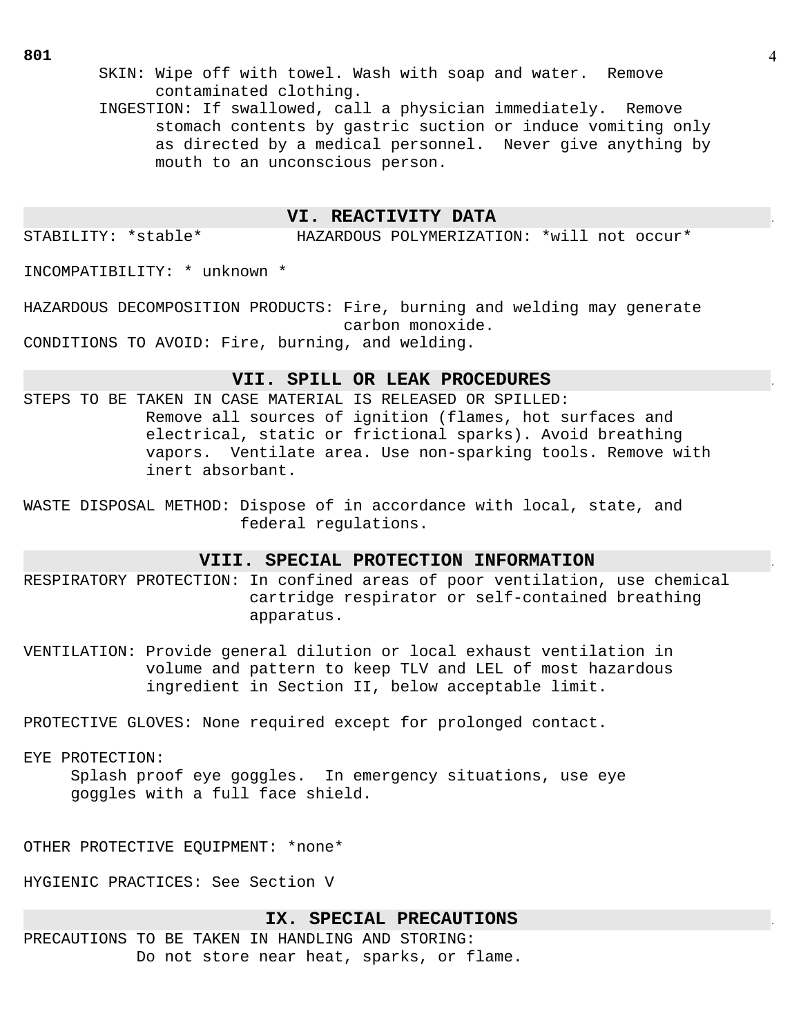SKIN: Wipe off with towel. Wash with soap and water. Remove contaminated clothing.

 INGESTION: If swallowed, call a physician immediately. Remove stomach contents by gastric suction or induce vomiting only as directed by a medical personnel. Never give anything by mouth to an unconscious person.

# **VI. REACTIVITY DATA** .

STABILITY: \*stable\* HAZARDOUS POLYMERIZATION: \*will not occur\*

INCOMPATIBILITY: \* unknown \*

HAZARDOUS DECOMPOSITION PRODUCTS: Fire, burning and welding may generate carbon monoxide. CONDITIONS TO AVOID: Fire, burning, and welding.

## **VII. SPILL OR LEAK PROCEDURES** .

- STEPS TO BE TAKEN IN CASE MATERIAL IS RELEASED OR SPILLED: Remove all sources of ignition (flames, hot surfaces and electrical, static or frictional sparks). Avoid breathing vapors. Ventilate area. Use non-sparking tools. Remove with inert absorbant.
- WASTE DISPOSAL METHOD: Dispose of in accordance with local, state, and federal regulations.

# **VIII. SPECIAL PROTECTION INFORMATION** .

- RESPIRATORY PROTECTION: In confined areas of poor ventilation, use chemical cartridge respirator or self-contained breathing apparatus.
- VENTILATION: Provide general dilution or local exhaust ventilation in volume and pattern to keep TLV and LEL of most hazardous ingredient in Section II, below acceptable limit.

PROTECTIVE GLOVES: None required except for prolonged contact.

# EYE PROTECTION:

 Splash proof eye goggles. In emergency situations, use eye goggles with a full face shield.

OTHER PROTECTIVE EQUIPMENT: \*none\*

HYGIENIC PRACTICES: See Section V

# **IX. SPECIAL PRECAUTIONS** .

PRECAUTIONS TO BE TAKEN IN HANDLING AND STORING: Do not store near heat, sparks, or flame.